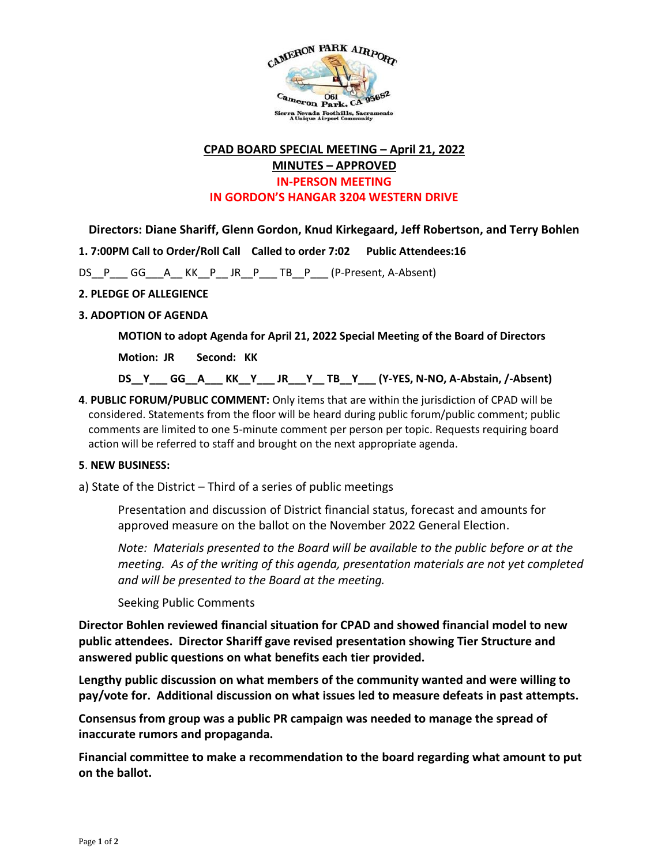

# **CPAD BOARD SPECIAL MEETING – April 21, 2022 MINUTES – APPROVED**

### **IN-PERSON MEETING**

**IN GORDON'S HANGAR 3204 WESTERN DRIVE**

**Directors: Diane Shariff, Glenn Gordon, Knud Kirkegaard, Jeff Robertson, and Terry Bohlen**

**1. 7:00PM Call to Order/Roll Call Called to order 7:02 Public Attendees:16**

DS\_P\_\_GG\_\_A\_KK\_P\_JR\_P\_\_TB\_P\_\_ (P-Present, A-Absent)

### **2. PLEDGE OF ALLEGIENCE**

## **3. ADOPTION OF AGENDA**

**MOTION to adopt Agenda for April 21, 2022 Special Meeting of the Board of Directors** 

**Motion: JR Second: KK**

**DS\_\_Y\_\_\_ GG\_\_A\_\_\_ KK\_\_Y\_\_\_ JR\_\_\_Y\_\_ TB\_\_Y\_\_\_ (Y-YES, N-NO, A-Abstain, /-Absent)** 

**4**. **PUBLIC FORUM/PUBLIC COMMENT:** Only items that are within the jurisdiction of CPAD will be considered. Statements from the floor will be heard during public forum/public comment; public comments are limited to one 5-minute comment per person per topic. Requests requiring board action will be referred to staff and brought on the next appropriate agenda.

### **5**. **NEW BUSINESS:**

a) State of the District – Third of a series of public meetings

Presentation and discussion of District financial status, forecast and amounts for approved measure on the ballot on the November 2022 General Election.

*Note: Materials presented to the Board will be available to the public before or at the meeting. As of the writing of this agenda, presentation materials are not yet completed and will be presented to the Board at the meeting.*

Seeking Public Comments

**Director Bohlen reviewed financial situation for CPAD and showed financial model to new public attendees. Director Shariff gave revised presentation showing Tier Structure and answered public questions on what benefits each tier provided.**

**Lengthy public discussion on what members of the community wanted and were willing to pay/vote for. Additional discussion on what issues led to measure defeats in past attempts.**

**Consensus from group was a public PR campaign was needed to manage the spread of inaccurate rumors and propaganda.**

**Financial committee to make a recommendation to the board regarding what amount to put on the ballot.**